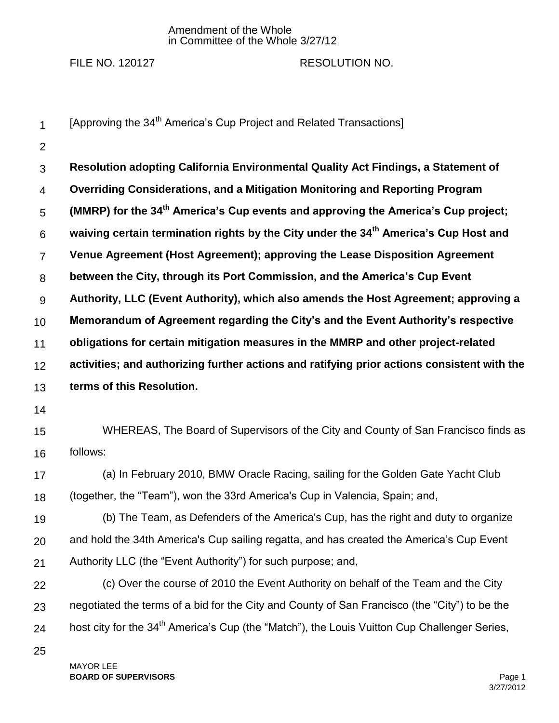## Amendment of the Whole in Committee of the Whole 3/27/12

## FILE NO. 120127 RESOLUTION NO.

1 2 3 4 5 6 7 8 9 10 11 12 13 14 15 16 17 18 19 20 21 22 23 24 25 [Approving the 34<sup>th</sup> America's Cup Project and Related Transactions] **Resolution adopting California Environmental Quality Act Findings, a Statement of Overriding Considerations, and a Mitigation Monitoring and Reporting Program (MMRP) for the 34th America's Cup events and approving the America's Cup project; waiving certain termination rights by the City under the 34th America's Cup Host and Venue Agreement (Host Agreement); approving the Lease Disposition Agreement between the City, through its Port Commission, and the America's Cup Event Authority, LLC (Event Authority), which also amends the Host Agreement; approving a Memorandum of Agreement regarding the City's and the Event Authority's respective obligations for certain mitigation measures in the MMRP and other project-related activities; and authorizing further actions and ratifying prior actions consistent with the terms of this Resolution.**  WHEREAS, The Board of Supervisors of the City and County of San Francisco finds as follows: (a) In February 2010, BMW Oracle Racing, sailing for the Golden Gate Yacht Club (together, the "Team"), won the 33rd America's Cup in Valencia, Spain; and, (b) The Team, as Defenders of the America's Cup, has the right and duty to organize and hold the 34th America's Cup sailing regatta, and has created the America's Cup Event Authority LLC (the "Event Authority") for such purpose; and, (c) Over the course of 2010 the Event Authority on behalf of the Team and the City negotiated the terms of a bid for the City and County of San Francisco (the "City") to be the host city for the 34<sup>th</sup> America's Cup (the "Match"), the Louis Vuitton Cup Challenger Series,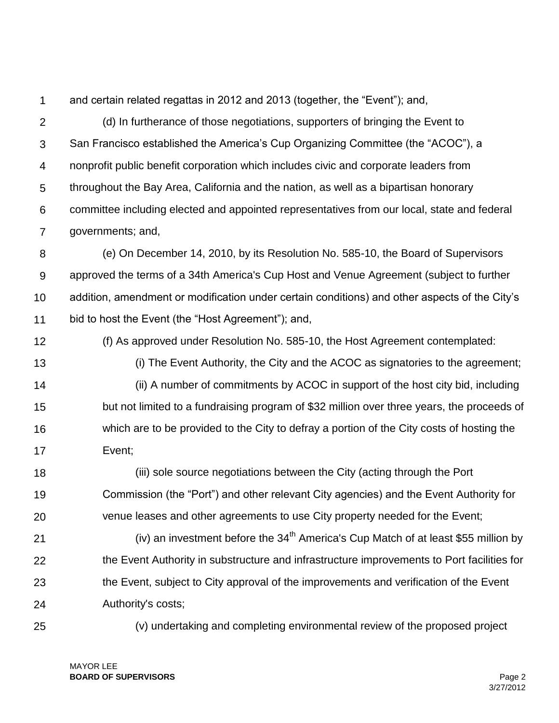1

and certain related regattas in 2012 and 2013 (together, the "Event"); and,

 $\mathcal{P}$ 3 4 5 6 7 (d) In furtherance of those negotiations, supporters of bringing the Event to San Francisco established the America's Cup Organizing Committee (the "ACOC"), a nonprofit public benefit corporation which includes civic and corporate leaders from throughout the Bay Area, California and the nation, as well as a bipartisan honorary committee including elected and appointed representatives from our local, state and federal governments; and,

8 9 10 11 (e) On December 14, 2010, by its Resolution No. 585-10, the Board of Supervisors approved the terms of a 34th America's Cup Host and Venue Agreement (subject to further addition, amendment or modification under certain conditions) and other aspects of the City's bid to host the Event (the "Host Agreement"); and,

- 12 (f) As approved under Resolution No. 585-10, the Host Agreement contemplated:
- 13

14 15 16 17 (i) The Event Authority, the City and the ACOC as signatories to the agreement; (ii) A number of commitments by ACOC in support of the host city bid, including but not limited to a fundraising program of \$32 million over three years, the proceeds of which are to be provided to the City to defray a portion of the City costs of hosting the Event;

18 19 20 (iii) sole source negotiations between the City (acting through the Port Commission (the "Port") and other relevant City agencies) and the Event Authority for venue leases and other agreements to use City property needed for the Event;

21 22 23 24 (iv) an investment before the  $34<sup>th</sup>$  America's Cup Match of at least \$55 million by the Event Authority in substructure and infrastructure improvements to Port facilities for the Event, subject to City approval of the improvements and verification of the Event Authority's costs;

25

(v) undertaking and completing environmental review of the proposed project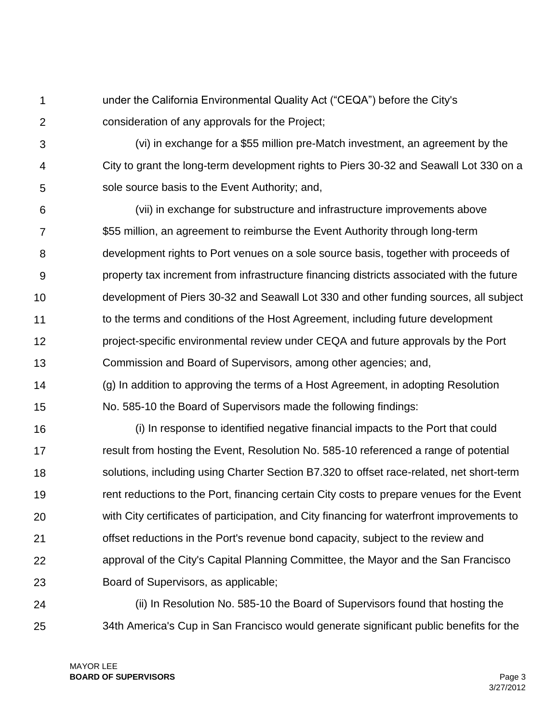1  $\mathcal{P}$ under the California Environmental Quality Act ("CEQA") before the City's consideration of any approvals for the Project;

3 4 5 (vi) in exchange for a \$55 million pre-Match investment, an agreement by the City to grant the long-term development rights to Piers 30-32 and Seawall Lot 330 on a sole source basis to the Event Authority; and,

6 7 8 9 10 11 12 13 (vii) in exchange for substructure and infrastructure improvements above \$55 million, an agreement to reimburse the Event Authority through long-term development rights to Port venues on a sole source basis, together with proceeds of property tax increment from infrastructure financing districts associated with the future development of Piers 30-32 and Seawall Lot 330 and other funding sources, all subject to the terms and conditions of the Host Agreement, including future development project-specific environmental review under CEQA and future approvals by the Port Commission and Board of Supervisors, among other agencies; and,

14 15 (g) In addition to approving the terms of a Host Agreement, in adopting Resolution No. 585-10 the Board of Supervisors made the following findings:

16 17 18 19 20 21 22 23 (i) In response to identified negative financial impacts to the Port that could result from hosting the Event, Resolution No. 585-10 referenced a range of potential solutions, including using Charter Section B7.320 to offset race-related, net short-term rent reductions to the Port, financing certain City costs to prepare venues for the Event with City certificates of participation, and City financing for waterfront improvements to offset reductions in the Port's revenue bond capacity, subject to the review and approval of the City's Capital Planning Committee, the Mayor and the San Francisco Board of Supervisors, as applicable;

24 25 (ii) In Resolution No. 585-10 the Board of Supervisors found that hosting the 34th America's Cup in San Francisco would generate significant public benefits for the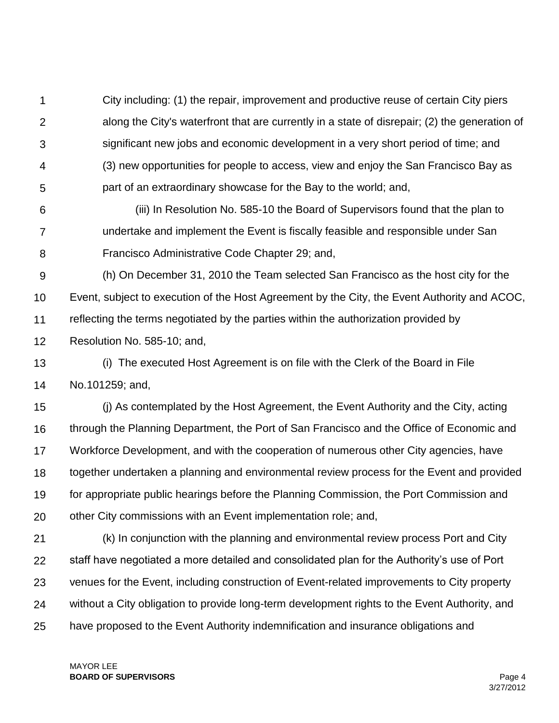1  $\mathcal{P}$ 3 4 5 City including: (1) the repair, improvement and productive reuse of certain City piers along the City's waterfront that are currently in a state of disrepair; (2) the generation of significant new jobs and economic development in a very short period of time; and (3) new opportunities for people to access, view and enjoy the San Francisco Bay as part of an extraordinary showcase for the Bay to the world; and,

- 6 7 8 (iii) In Resolution No. 585-10 the Board of Supervisors found that the plan to undertake and implement the Event is fiscally feasible and responsible under San Francisco Administrative Code Chapter 29; and,
- 9 10 11 12 (h) On December 31, 2010 the Team selected San Francisco as the host city for the Event, subject to execution of the Host Agreement by the City, the Event Authority and ACOC, reflecting the terms negotiated by the parties within the authorization provided by Resolution No. 585-10; and,
- 13 14 (i) The executed Host Agreement is on file with the Clerk of the Board in File No.101259; and,

15 16 17 18 19 20 (j) As contemplated by the Host Agreement, the Event Authority and the City, acting through the Planning Department, the Port of San Francisco and the Office of Economic and Workforce Development, and with the cooperation of numerous other City agencies, have together undertaken a planning and environmental review process for the Event and provided for appropriate public hearings before the Planning Commission, the Port Commission and other City commissions with an Event implementation role; and,

21 22 23 24 25 (k) In conjunction with the planning and environmental review process Port and City staff have negotiated a more detailed and consolidated plan for the Authority's use of Port venues for the Event, including construction of Event-related improvements to City property without a City obligation to provide long-term development rights to the Event Authority, and have proposed to the Event Authority indemnification and insurance obligations and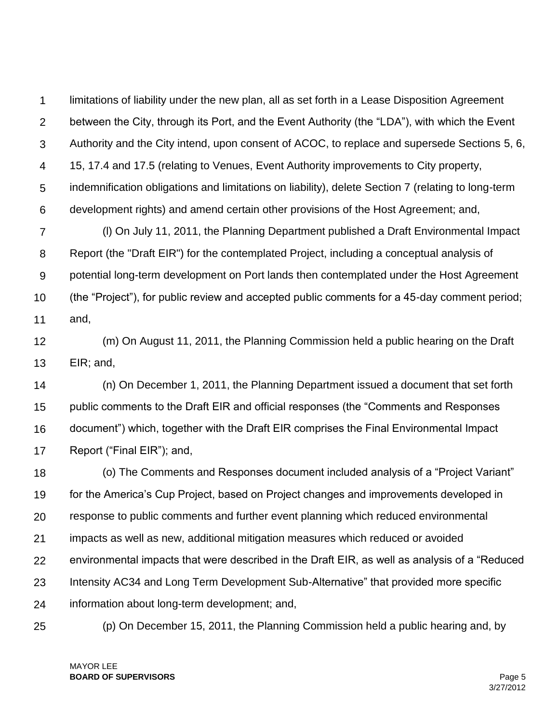1  $\mathcal{P}$ 3 4 5 6 limitations of liability under the new plan, all as set forth in a Lease Disposition Agreement between the City, through its Port, and the Event Authority (the "LDA"), with which the Event Authority and the City intend, upon consent of ACOC, to replace and supersede Sections 5, 6, 15, 17.4 and 17.5 (relating to Venues, Event Authority improvements to City property, indemnification obligations and limitations on liability), delete Section 7 (relating to long-term development rights) and amend certain other provisions of the Host Agreement; and,

7 8 9 10 11 (l) On July 11, 2011, the Planning Department published a Draft Environmental Impact Report (the "Draft EIR") for the contemplated Project, including a conceptual analysis of potential long-term development on Port lands then contemplated under the Host Agreement (the "Project"), for public review and accepted public comments for a 45-day comment period; and,

12 13 (m) On August 11, 2011, the Planning Commission held a public hearing on the Draft EIR; and,

14 15 16 17 (n) On December 1, 2011, the Planning Department issued a document that set forth public comments to the Draft EIR and official responses (the "Comments and Responses document") which, together with the Draft EIR comprises the Final Environmental Impact Report ("Final EIR"); and,

18 19 20 21 22 23 24 (o) The Comments and Responses document included analysis of a "Project Variant" for the America's Cup Project, based on Project changes and improvements developed in response to public comments and further event planning which reduced environmental impacts as well as new, additional mitigation measures which reduced or avoided environmental impacts that were described in the Draft EIR, as well as analysis of a "Reduced Intensity AC34 and Long Term Development Sub-Alternative" that provided more specific information about long-term development; and,

25

(p) On December 15, 2011, the Planning Commission held a public hearing and, by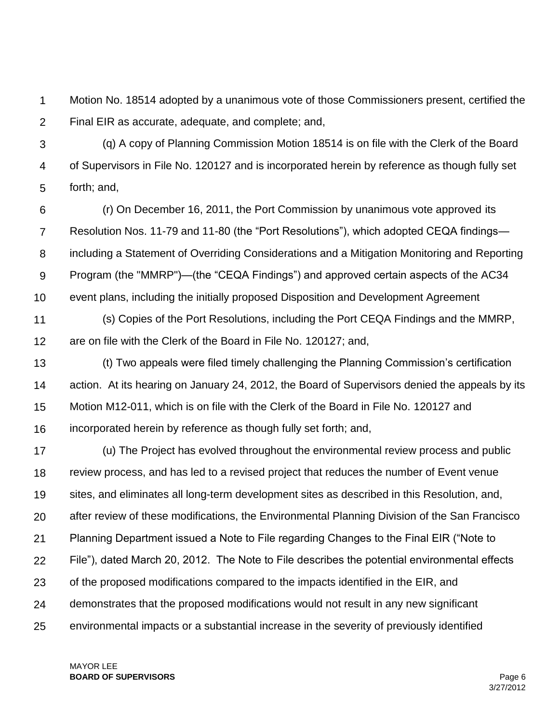1  $\mathcal{P}$ Motion No. 18514 adopted by a unanimous vote of those Commissioners present, certified the Final EIR as accurate, adequate, and complete; and,

3 4 5 (q) A copy of Planning Commission Motion 18514 is on file with the Clerk of the Board of Supervisors in File No. 120127 and is incorporated herein by reference as though fully set forth; and,

6 7 8 9 10 (r) On December 16, 2011, the Port Commission by unanimous vote approved its Resolution Nos. 11-79 and 11-80 (the "Port Resolutions"), which adopted CEQA findings including a Statement of Overriding Considerations and a Mitigation Monitoring and Reporting Program (the "MMRP")—(the "CEQA Findings") and approved certain aspects of the AC34 event plans, including the initially proposed Disposition and Development Agreement

11 12 (s) Copies of the Port Resolutions, including the Port CEQA Findings and the MMRP, are on file with the Clerk of the Board in File No. 120127; and,

13 14 15 16 (t) Two appeals were filed timely challenging the Planning Commission's certification action. At its hearing on January 24, 2012, the Board of Supervisors denied the appeals by its Motion M12-011, which is on file with the Clerk of the Board in File No. 120127 and incorporated herein by reference as though fully set forth; and,

17 18 19 20 21 22 23 24 25 (u) The Project has evolved throughout the environmental review process and public review process, and has led to a revised project that reduces the number of Event venue sites, and eliminates all long-term development sites as described in this Resolution, and, after review of these modifications, the Environmental Planning Division of the San Francisco Planning Department issued a Note to File regarding Changes to the Final EIR ("Note to File"), dated March 20, 2012. The Note to File describes the potential environmental effects of the proposed modifications compared to the impacts identified in the EIR, and demonstrates that the proposed modifications would not result in any new significant environmental impacts or a substantial increase in the severity of previously identified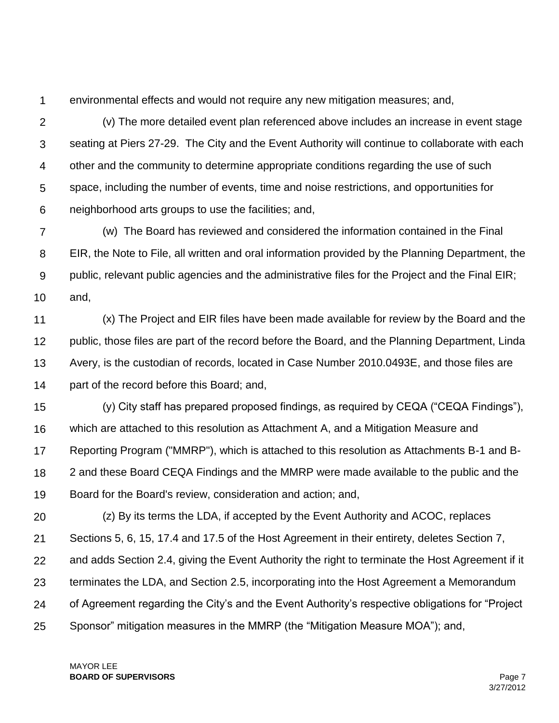1

environmental effects and would not require any new mitigation measures; and,

 $\mathcal{P}$ 3 4 5 6 (v) The more detailed event plan referenced above includes an increase in event stage seating at Piers 27-29. The City and the Event Authority will continue to collaborate with each other and the community to determine appropriate conditions regarding the use of such space, including the number of events, time and noise restrictions, and opportunities for neighborhood arts groups to use the facilities; and,

7 8 9 10 (w) The Board has reviewed and considered the information contained in the Final EIR, the Note to File, all written and oral information provided by the Planning Department, the public, relevant public agencies and the administrative files for the Project and the Final EIR; and,

11 12 13 14 (x) The Project and EIR files have been made available for review by the Board and the public, those files are part of the record before the Board, and the Planning Department, Linda Avery, is the custodian of records, located in Case Number 2010.0493E, and those files are part of the record before this Board; and,

15 16 17 18 19 (y) City staff has prepared proposed findings, as required by CEQA ("CEQA Findings"), which are attached to this resolution as Attachment A, and a Mitigation Measure and Reporting Program ("MMRP"), which is attached to this resolution as Attachments B-1 and B-2 and these Board CEQA Findings and the MMRP were made available to the public and the Board for the Board's review, consideration and action; and,

20 21 22 23 24 25 (z) By its terms the LDA, if accepted by the Event Authority and ACOC, replaces Sections 5, 6, 15, 17.4 and 17.5 of the Host Agreement in their entirety, deletes Section 7, and adds Section 2.4, giving the Event Authority the right to terminate the Host Agreement if it terminates the LDA, and Section 2.5, incorporating into the Host Agreement a Memorandum of Agreement regarding the City's and the Event Authority's respective obligations for "Project Sponsor" mitigation measures in the MMRP (the "Mitigation Measure MOA"); and,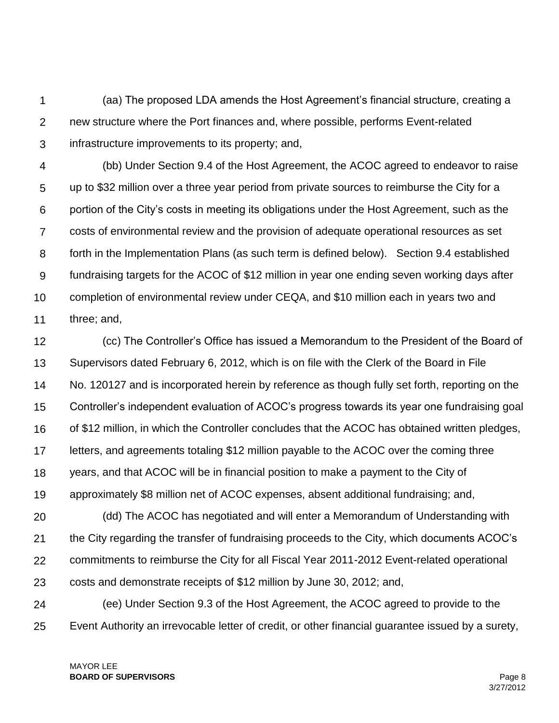1  $\mathcal{P}$ 3 (aa) The proposed LDA amends the Host Agreement's financial structure, creating a new structure where the Port finances and, where possible, performs Event-related infrastructure improvements to its property; and,

4 5 6 7 8 9 10 11 (bb) Under Section 9.4 of the Host Agreement, the ACOC agreed to endeavor to raise up to \$32 million over a three year period from private sources to reimburse the City for a portion of the City's costs in meeting its obligations under the Host Agreement, such as the costs of environmental review and the provision of adequate operational resources as set forth in the Implementation Plans (as such term is defined below). Section 9.4 established fundraising targets for the ACOC of \$12 million in year one ending seven working days after completion of environmental review under CEQA, and \$10 million each in years two and three; and,

12 13 14 15 16 17 18 19 20 21 22 23 24 25 (cc) The Controller's Office has issued a Memorandum to the President of the Board of Supervisors dated February 6, 2012, which is on file with the Clerk of the Board in File No. 120127 and is incorporated herein by reference as though fully set forth, reporting on the Controller's independent evaluation of ACOC's progress towards its year one fundraising goal of \$12 million, in which the Controller concludes that the ACOC has obtained written pledges, letters, and agreements totaling \$12 million payable to the ACOC over the coming three years, and that ACOC will be in financial position to make a payment to the City of approximately \$8 million net of ACOC expenses, absent additional fundraising; and, (dd) The ACOC has negotiated and will enter a Memorandum of Understanding with the City regarding the transfer of fundraising proceeds to the City, which documents ACOC's commitments to reimburse the City for all Fiscal Year 2011-2012 Event-related operational costs and demonstrate receipts of \$12 million by June 30, 2012; and, (ee) Under Section 9.3 of the Host Agreement, the ACOC agreed to provide to the Event Authority an irrevocable letter of credit, or other financial guarantee issued by a surety,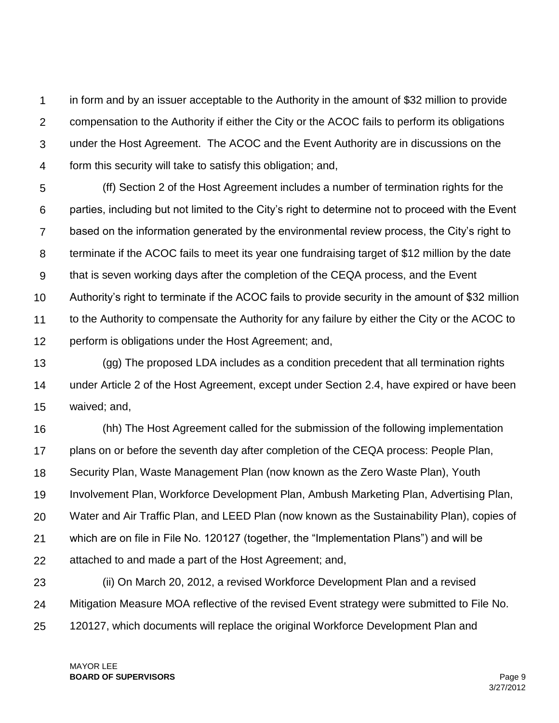1  $\mathcal{P}$ 3 4 in form and by an issuer acceptable to the Authority in the amount of \$32 million to provide compensation to the Authority if either the City or the ACOC fails to perform its obligations under the Host Agreement. The ACOC and the Event Authority are in discussions on the form this security will take to satisfy this obligation; and,

5 6 7 8 9 10 11 12 (ff) Section 2 of the Host Agreement includes a number of termination rights for the parties, including but not limited to the City's right to determine not to proceed with the Event based on the information generated by the environmental review process, the City's right to terminate if the ACOC fails to meet its year one fundraising target of \$12 million by the date that is seven working days after the completion of the CEQA process, and the Event Authority's right to terminate if the ACOC fails to provide security in the amount of \$32 million to the Authority to compensate the Authority for any failure by either the City or the ACOC to perform is obligations under the Host Agreement; and,

13 14 15 (gg) The proposed LDA includes as a condition precedent that all termination rights under Article 2 of the Host Agreement, except under Section 2.4, have expired or have been waived; and,

16 17 18 19 20 21 22 (hh) The Host Agreement called for the submission of the following implementation plans on or before the seventh day after completion of the CEQA process: People Plan, Security Plan, Waste Management Plan (now known as the Zero Waste Plan), Youth Involvement Plan, Workforce Development Plan, Ambush Marketing Plan, Advertising Plan, Water and Air Traffic Plan, and LEED Plan (now known as the Sustainability Plan), copies of which are on file in File No. 120127 (together, the "Implementation Plans") and will be attached to and made a part of the Host Agreement; and,

23 24 25 (ii) On March 20, 2012, a revised Workforce Development Plan and a revised Mitigation Measure MOA reflective of the revised Event strategy were submitted to File No. 120127, which documents will replace the original Workforce Development Plan and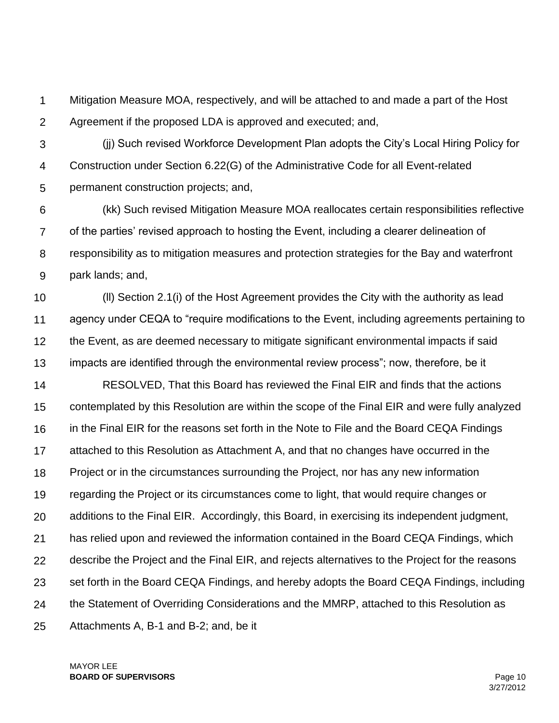1  $\mathcal{P}$ Mitigation Measure MOA, respectively, and will be attached to and made a part of the Host Agreement if the proposed LDA is approved and executed; and,

3 4 5 (jj) Such revised Workforce Development Plan adopts the City's Local Hiring Policy for Construction under Section 6.22(G) of the Administrative Code for all Event-related permanent construction projects; and,

6 7 8 9 (kk) Such revised Mitigation Measure MOA reallocates certain responsibilities reflective of the parties' revised approach to hosting the Event, including a clearer delineation of responsibility as to mitigation measures and protection strategies for the Bay and waterfront park lands; and,

10 11 12 13 (ll) Section 2.1(i) of the Host Agreement provides the City with the authority as lead agency under CEQA to "require modifications to the Event, including agreements pertaining to the Event, as are deemed necessary to mitigate significant environmental impacts if said impacts are identified through the environmental review process"; now, therefore, be it

14 15 16 17 18 19 20 21 22 23 24 25 RESOLVED, That this Board has reviewed the Final EIR and finds that the actions contemplated by this Resolution are within the scope of the Final EIR and were fully analyzed in the Final EIR for the reasons set forth in the Note to File and the Board CEQA Findings attached to this Resolution as Attachment A, and that no changes have occurred in the Project or in the circumstances surrounding the Project, nor has any new information regarding the Project or its circumstances come to light, that would require changes or additions to the Final EIR. Accordingly, this Board, in exercising its independent judgment, has relied upon and reviewed the information contained in the Board CEQA Findings, which describe the Project and the Final EIR, and rejects alternatives to the Project for the reasons set forth in the Board CEQA Findings, and hereby adopts the Board CEQA Findings, including the Statement of Overriding Considerations and the MMRP, attached to this Resolution as Attachments A, B-1 and B-2; and, be it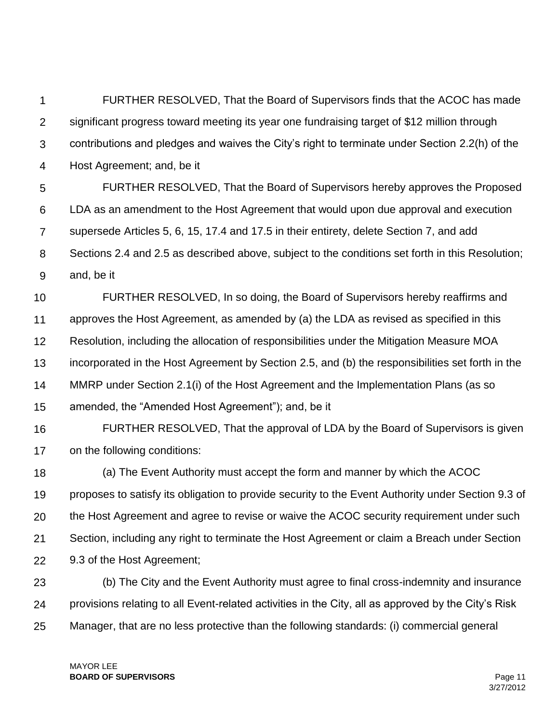1  $\mathcal{P}$ 3 4 FURTHER RESOLVED, That the Board of Supervisors finds that the ACOC has made significant progress toward meeting its year one fundraising target of \$12 million through contributions and pledges and waives the City's right to terminate under Section 2.2(h) of the Host Agreement; and, be it

5 6 7 8 9 FURTHER RESOLVED, That the Board of Supervisors hereby approves the Proposed LDA as an amendment to the Host Agreement that would upon due approval and execution supersede Articles 5, 6, 15, 17.4 and 17.5 in their entirety, delete Section 7, and add Sections 2.4 and 2.5 as described above, subject to the conditions set forth in this Resolution; and, be it

10 11 12 13 14 15 FURTHER RESOLVED, In so doing, the Board of Supervisors hereby reaffirms and approves the Host Agreement, as amended by (a) the LDA as revised as specified in this Resolution, including the allocation of responsibilities under the Mitigation Measure MOA incorporated in the Host Agreement by Section 2.5, and (b) the responsibilities set forth in the MMRP under Section 2.1(i) of the Host Agreement and the Implementation Plans (as so amended, the "Amended Host Agreement"); and, be it

16 17 FURTHER RESOLVED, That the approval of LDA by the Board of Supervisors is given on the following conditions:

18 19 20 21 22 (a) The Event Authority must accept the form and manner by which the ACOC proposes to satisfy its obligation to provide security to the Event Authority under Section 9.3 of the Host Agreement and agree to revise or waive the ACOC security requirement under such Section, including any right to terminate the Host Agreement or claim a Breach under Section 9.3 of the Host Agreement;

23 24 25 (b) The City and the Event Authority must agree to final cross-indemnity and insurance provisions relating to all Event-related activities in the City, all as approved by the City's Risk Manager, that are no less protective than the following standards: (i) commercial general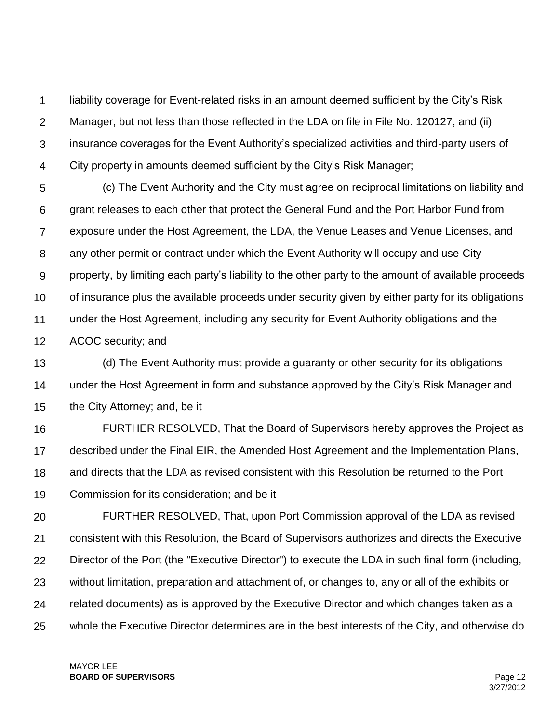1  $\mathcal{P}$ 3 4 liability coverage for Event-related risks in an amount deemed sufficient by the City's Risk Manager, but not less than those reflected in the LDA on file in File No. 120127, and (ii) insurance coverages for the Event Authority's specialized activities and third-party users of City property in amounts deemed sufficient by the City's Risk Manager;

5 6 7 8 9 10 11 12 (c) The Event Authority and the City must agree on reciprocal limitations on liability and grant releases to each other that protect the General Fund and the Port Harbor Fund from exposure under the Host Agreement, the LDA, the Venue Leases and Venue Licenses, and any other permit or contract under which the Event Authority will occupy and use City property, by limiting each party's liability to the other party to the amount of available proceeds of insurance plus the available proceeds under security given by either party for its obligations under the Host Agreement, including any security for Event Authority obligations and the ACOC security; and

13 14 15 (d) The Event Authority must provide a guaranty or other security for its obligations under the Host Agreement in form and substance approved by the City's Risk Manager and the City Attorney; and, be it

16 17 18 19 FURTHER RESOLVED, That the Board of Supervisors hereby approves the Project as described under the Final EIR, the Amended Host Agreement and the Implementation Plans, and directs that the LDA as revised consistent with this Resolution be returned to the Port Commission for its consideration; and be it

20 21 22 23 24 25 FURTHER RESOLVED, That, upon Port Commission approval of the LDA as revised consistent with this Resolution, the Board of Supervisors authorizes and directs the Executive Director of the Port (the "Executive Director") to execute the LDA in such final form (including, without limitation, preparation and attachment of, or changes to, any or all of the exhibits or related documents) as is approved by the Executive Director and which changes taken as a whole the Executive Director determines are in the best interests of the City, and otherwise do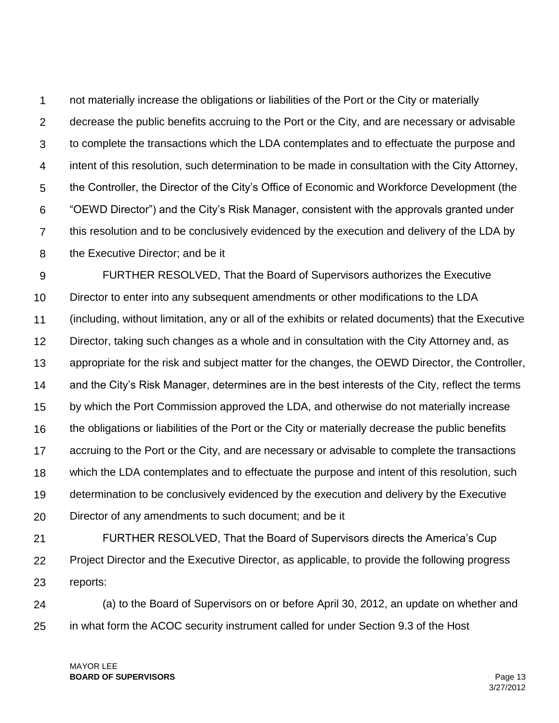1  $\mathcal{P}$ 3 4 5 6 7 8 not materially increase the obligations or liabilities of the Port or the City or materially decrease the public benefits accruing to the Port or the City, and are necessary or advisable to complete the transactions which the LDA contemplates and to effectuate the purpose and intent of this resolution, such determination to be made in consultation with the City Attorney, the Controller, the Director of the City's Office of Economic and Workforce Development (the "OEWD Director") and the City's Risk Manager, consistent with the approvals granted under this resolution and to be conclusively evidenced by the execution and delivery of the LDA by the Executive Director; and be it

9 10 11 12 13 14 15 16 17 18 19 20 FURTHER RESOLVED, That the Board of Supervisors authorizes the Executive Director to enter into any subsequent amendments or other modifications to the LDA (including, without limitation, any or all of the exhibits or related documents) that the Executive Director, taking such changes as a whole and in consultation with the City Attorney and, as appropriate for the risk and subject matter for the changes, the OEWD Director, the Controller, and the City's Risk Manager, determines are in the best interests of the City, reflect the terms by which the Port Commission approved the LDA, and otherwise do not materially increase the obligations or liabilities of the Port or the City or materially decrease the public benefits accruing to the Port or the City, and are necessary or advisable to complete the transactions which the LDA contemplates and to effectuate the purpose and intent of this resolution, such determination to be conclusively evidenced by the execution and delivery by the Executive Director of any amendments to such document; and be it

21 22 23 FURTHER RESOLVED, That the Board of Supervisors directs the America's Cup Project Director and the Executive Director, as applicable, to provide the following progress reports:

24 25 (a) to the Board of Supervisors on or before April 30, 2012, an update on whether and in what form the ACOC security instrument called for under Section 9.3 of the Host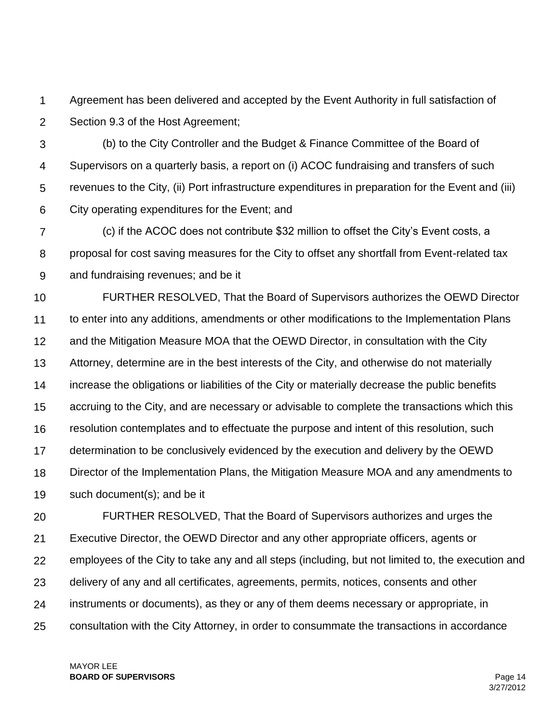1  $\mathcal{P}$ Agreement has been delivered and accepted by the Event Authority in full satisfaction of Section 9.3 of the Host Agreement;

3 4 5 6 (b) to the City Controller and the Budget & Finance Committee of the Board of Supervisors on a quarterly basis, a report on (i) ACOC fundraising and transfers of such revenues to the City, (ii) Port infrastructure expenditures in preparation for the Event and (iii) City operating expenditures for the Event; and

7 8 9 (c) if the ACOC does not contribute \$32 million to offset the City's Event costs, a proposal for cost saving measures for the City to offset any shortfall from Event-related tax and fundraising revenues; and be it

10 11 12 13 14 15 16 17 18 19 FURTHER RESOLVED, That the Board of Supervisors authorizes the OEWD Director to enter into any additions, amendments or other modifications to the Implementation Plans and the Mitigation Measure MOA that the OEWD Director, in consultation with the City Attorney, determine are in the best interests of the City, and otherwise do not materially increase the obligations or liabilities of the City or materially decrease the public benefits accruing to the City, and are necessary or advisable to complete the transactions which this resolution contemplates and to effectuate the purpose and intent of this resolution, such determination to be conclusively evidenced by the execution and delivery by the OEWD Director of the Implementation Plans, the Mitigation Measure MOA and any amendments to such document(s); and be it

20 21 22 23 24 25 FURTHER RESOLVED, That the Board of Supervisors authorizes and urges the Executive Director, the OEWD Director and any other appropriate officers, agents or employees of the City to take any and all steps (including, but not limited to, the execution and delivery of any and all certificates, agreements, permits, notices, consents and other instruments or documents), as they or any of them deems necessary or appropriate, in consultation with the City Attorney, in order to consummate the transactions in accordance